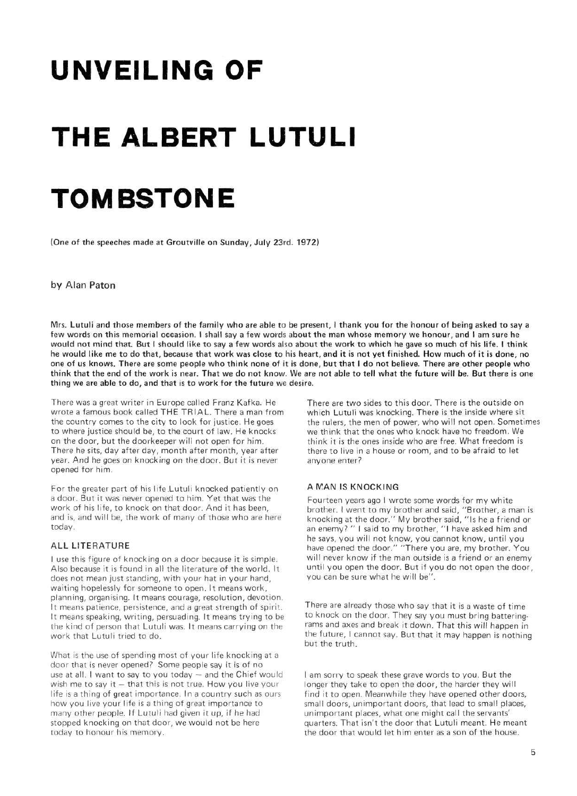# **UNVEILING OF THE ALBERT LUTULI**

### **TOMBSTONE**

**(One** of **the speeches made at Groutville on Sunday, July 23rd. 1972)** 

#### by Alan Paton

**Mrs. Lutuli and** those members of **the** family **who** are **able to be present, I thank you for the honour of being asked to say a few words on this memorial occasion. I shall say a few words about the man whose memory we honour, and I am sure he would not mind that. But I should like to say a few words** also **about the work to which he gave so much of his life. I think he would like me to do that, because that work was close to his heart, and it is not yet finished. How much of it is done, no one of us knows. There are** some **people who think none of** it **is done, but that I do not believe. There are other people who think that the end of the work is near. That we do not know. We are not able to tell what the future will be. But there is one thing we are able to do, and** that is to **work for the future** we **desire.** 

There was a great writer in Europe called Franz Kafka. He wrote a famous book called THE TRIAL . There a man from the country comes to the city to look for justice. He goes to where justice should be, to the court of law. He knocks on the door, but the doorkeeper will not open for him. There he sits, day after day, month after month, year after year. And he goes on knocking on the door. But it is never opened for him.

For the greater part of his life .Lutuli knocked patiently on a door. But it was never opened to him. Yet that was the work of his life, to knock on that door. And it has been, and is, and will be, the work of many of those who are here today.

#### **ALL LITERATURE**

I use this figure of knocking on a door because it is simple. Also because it is found in all the literature of the world. It does not mean just standing, with your hat in your hand, waiting hopelessly for someone to open, it means work, planning, organising. It means courage, resolution, devotion. It means patience, persistence, and a great strength of spirit. It means speaking, writing, persuading. It means trying to be the kind of person that Lutuli was. It means carrying on the work that Lutuli tried to do.

What is the use of spending most of your life knocking at a door that is never opened? Some people say it is of no use at all. I want to say to you today — and the Chief would wish me to say it — that this is not true. How you live your life is a thing of great importance. In a country such as ours how you live your life is a thing of great importance to many other people. If Lutuli had given it up, if he had stopped knocking on that door, we would not be here today to honour his memory.

There are two sides to this door. There is the outside on which Lutuli was knocking. There is the inside where sit the rulers, the men of power, who will not open. Sometimes we think that the ones who knock have no freedom. We think it is the ones inside who are free. What freedom is there to live in a house or room, and to be afraid to let anyone enter?

#### **A MAN IS KNOCKING**

Fourteen years ago I wrote some words for my white brother. I went to my brother and said, ''Brother, a man is knocking at the door." My brother said, "Is he a friend or an enemy? " I said to my brother, "I have asked him and he says, you will not know, you cannot know, until you have opened the door." "There you are, my brother. You will never know if the man outside is a friend or an enemy until you open the door. But if you do not open the door, you can be sure what he will be".

There are already those who say that it is a waste of time to knock on the door. They say you must bring batteringrams and axes and break it down. That this will happen in the future, I cannot say. But that it may happen is nothing but the truth.

I am sorry to speak these grave words to you. But the longer they take to open the door, the harder they will find it to open. Meanwhile they have opened other doors, small doors, unimportant doors, that lead to small places, unimportant places, what one might call the servants' quarters. That isn't the door that Lutuli meant. He meant the door that would let him enter as a son of the house.